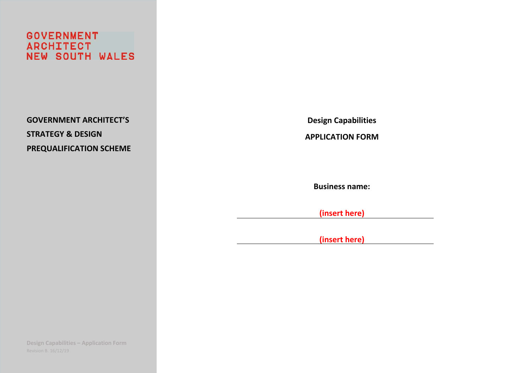**GOVERNMENT ARCHITECT NEW SOUTH WALES** 

**GOVERNMENT ARCHITECT'S STRATEGY & DESIGN PREQUALIFICATION SCHEME**  **Design Capabilities** 

**APPLICATION FORM** 

**Business name:** 

**(insert here)** 

**(insert here)**

**Design Capabilities – Application Form**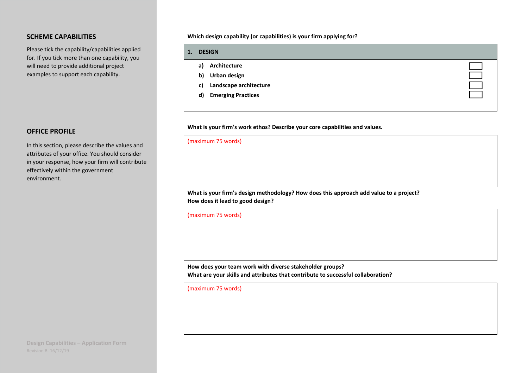# **SCHEME CAPABILITIES**

Please tick the capability/capabilities applied for. If you tick more than one capability, you will need to provide additional project examples to support each capability.

# **OFFICE PROFILE**

In this section, please describe the values and attributes of your office. You should consider in your response, how your firm will contribute effectively within the government environment.

**Which design capability (or capabilities) is your firm applying for?** 

| 1. | <b>DESIGN</b>                   |  |
|----|---------------------------------|--|
|    | Architecture<br>a)              |  |
|    | Urban design<br>b)              |  |
|    | Landscape architecture<br>c)    |  |
|    | <b>Emerging Practices</b><br>d) |  |
|    |                                 |  |

**What is your firm's work ethos? Describe your core capabilities and values.** 

#### (maximum 75 words)

What is your firm's design methodology? How does this approach add value to a project? **How does it lead to good design?** 

(maximum 75 words)

**How does your team work with diverse stakeholder groups? What are your skills and attributes that contribute to successful collaboration?** 

(maximum 75 words)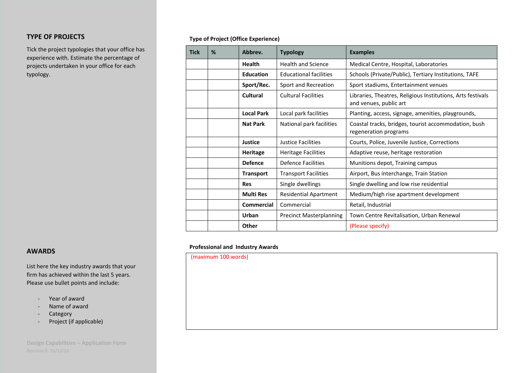# **TYPE OF PROJECTS**

Tick the project typologies that your office has experience with. Estimate the percentage of projects undertaken in your office for each typology.

# **Type of Project (Office Experience)**

| <b>Tick</b> | %                                             | Abbrey.           | <b>Typology</b>                | <b>Examples</b>                                                                       |
|-------------|-----------------------------------------------|-------------------|--------------------------------|---------------------------------------------------------------------------------------|
|             |                                               | <b>Health</b>     | <b>Health and Science</b>      | Medical Centre, Hospital, Laboratories                                                |
|             |                                               | <b>Education</b>  | <b>Educational facilities</b>  | Schools (Private/Public), Tertiary Institutions, TAFE                                 |
|             |                                               | Sport/Rec.        | Sport and Recreation           | Sport stadiums, Entertainment venues                                                  |
|             |                                               | Cultural          | <b>Cultural Facilities</b>     | Libraries, Theatres, Religious Institutions, Arts festivals<br>and venues, public art |
|             |                                               | <b>Local Park</b> | Local park facilities          | Planting, access, signage, amenities, playgrounds,                                    |
|             |                                               | <b>Nat Park</b>   | National park facilities       | Coastal tracks, bridges, tourist accommodation, bush<br>regeneration programs         |
|             |                                               | <b>Justice</b>    | Justice Facilities             | Courts, Police, Juvenile Justice, Corrections                                         |
|             | <b>Heritage</b><br><b>Heritage Facilities</b> |                   |                                | Adaptive reuse, heritage restoration                                                  |
|             |                                               | <b>Defence</b>    | <b>Defence Facilities</b>      | Munitions depot, Training campus                                                      |
|             |                                               | <b>Transport</b>  | <b>Transport Facilities</b>    | Airport, Bus interchange, Train Station                                               |
|             |                                               | <b>Res</b>        | Single dwellings               | Single dwelling and low rise residential                                              |
|             |                                               | <b>Multi Res</b>  | <b>Residential Apartment</b>   | Medium/high rise apartment development                                                |
|             |                                               | <b>Commercial</b> | Commercial                     | Retail, Industrial                                                                    |
|             |                                               | Urban             | <b>Precinct Masterplanning</b> | Town Centre Revitalisation, Urban Renewal                                             |
|             |                                               | Other             |                                | (Please specify)                                                                      |

#### **Professional and Industry Awards**

(maximum 100 words)

#### **AWARDS**

List here the key industry awards that your firm has achieved within the last 5 years. Please use bullet points and include:

- ‐Year of award
- ‐Name of award
- ‐Category
- ‐Project (if applicable)

**Design Capabilities – Application Form**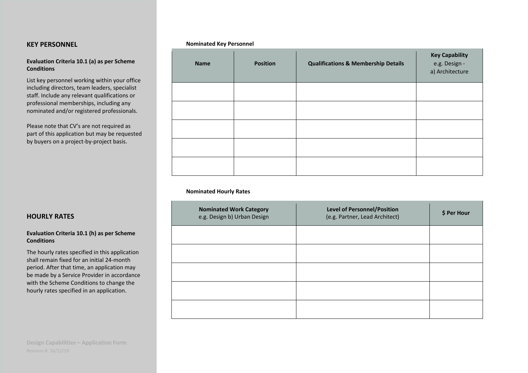## **KEY PERSONNEL**

#### **Evaluation Criteria 10.1 (a) as per Scheme Conditions**

List key personnel working within your office including directors, team leaders, specialist staff. Include any relevant qualifications or professional memberships, including any nominated and/or registered professionals.

Please note that CV's are not required as part of this application but may be requested by buyers on a project‐by‐project basis.

| <b>Name</b> | <b>Position</b> | <b>Qualifications &amp; Membership Details</b> | <b>Key Capability</b><br>e.g. Design -<br>a) Architecture |
|-------------|-----------------|------------------------------------------------|-----------------------------------------------------------|
|             |                 |                                                |                                                           |
|             |                 |                                                |                                                           |
|             |                 |                                                |                                                           |
|             |                 |                                                |                                                           |
|             |                 |                                                |                                                           |

#### **Nominated Hourly Rates**

**Nominated Key Personnel** 

| <b>Nominated Work Category</b><br>e.g. Design b) Urban Design | <b>Level of Personnel/Position</b><br>(e.g. Partner, Lead Architect) | \$ Per Hour |
|---------------------------------------------------------------|----------------------------------------------------------------------|-------------|
|                                                               |                                                                      |             |
|                                                               |                                                                      |             |
|                                                               |                                                                      |             |
|                                                               |                                                                      |             |
|                                                               |                                                                      |             |

## **HOURLY RATES**

#### **Evaluation Criteria 10.1 (h) as per Scheme Conditions**

The hourly rates specified in this application shall remain fixed for an initial 24‐month period. After that time, an application may be made by a Service Provider in accordance with the Scheme Conditions to change the hourly rates specified in an application.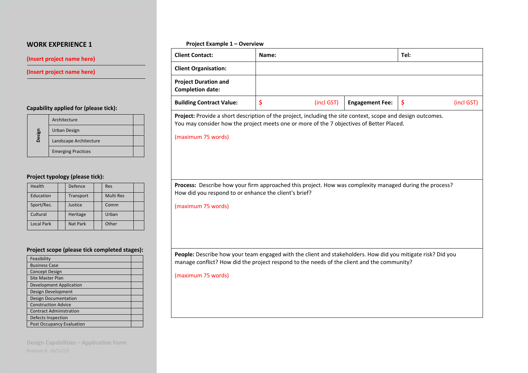#### **(Insert project name here)**

#### **(Insert project name here)**

#### **Capability applied for (please tick):**

|        | Architecture              |  |
|--------|---------------------------|--|
| Design | Urban Design              |  |
|        | Landscape Architecture    |  |
|        | <b>Emerging Practices</b> |  |

#### **Project typology (please tick):**

| Health            | Defence         | Res              |
|-------------------|-----------------|------------------|
| Education         | Transport       | <b>Multi Res</b> |
| Sport/Rec.        | Justice         | Comm             |
| Cultural          | Heritage        | Urban            |
| <b>Local Park</b> | <b>Nat Park</b> | Other            |

#### **Project scope (please tick completed stages):**

| Feasibility                      |  |
|----------------------------------|--|
| <b>Business Case</b>             |  |
| <b>Concept Design</b>            |  |
| <b>Site Master Plan</b>          |  |
| <b>Development Application</b>   |  |
| Design Development               |  |
| <b>Design Documentation</b>      |  |
| <b>Construction Advice</b>       |  |
| <b>Contract Administration</b>   |  |
| Defects Inspection               |  |
| <b>Post Occupancy Evaluation</b> |  |

**Design Capabilities – Application Form** 

#### **Project Example 1 – Overview**

| <b>Client Contact:</b>                                 | Name: |            |                        | Tel: |            |
|--------------------------------------------------------|-------|------------|------------------------|------|------------|
| <b>Client Organisation:</b>                            |       |            |                        |      |            |
| <b>Project Duration and</b><br><b>Completion date:</b> |       |            |                        |      |            |
| <b>Building Contract Value:</b>                        |       | (incl GST) | <b>Engagement Fee:</b> |      | (incl GST) |

**Project:** Provide a short description of the project, including the site context, scope and design outcomes. You may consider how the project meets one or more of the 7 objectives of Better Placed.

(maximum 75 words)

Process: Describe how your firm approached this project. How was complexity managed during the process? How did you respond to or enhance the client's brief?

(maximum 75 words)

**People:** Describe how your team engaged with the client and stakeholders. How did you mitigate risk? Did you manage conflict? How did the project respond to the needs of the client and the community?

(maximum 75 words)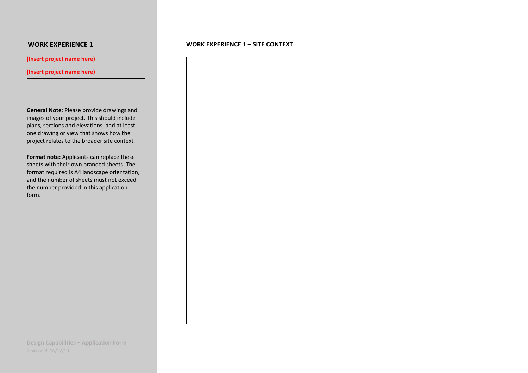**(Insert project name here)** 

### **(Insert project name here)**

**General Note**: Please provide drawings and images of your project. This should include plans, sections and elevations, and at least one drawing or view that shows how the project relates to the broader site context.

**Format note:** Applicants can replace these sheets with their own branded sheets. The format required is A4 landscape orientation, and the number of sheets must not exceed the number provided in this application form.

### **WORK EXPERIENCE 1 – SITE CONTEXT**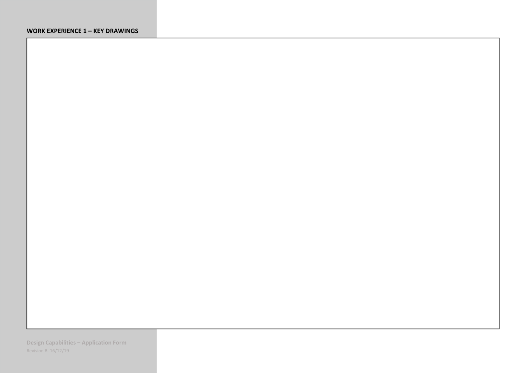# **WORK EXPERIENCE 1 – KEY DRAWINGS**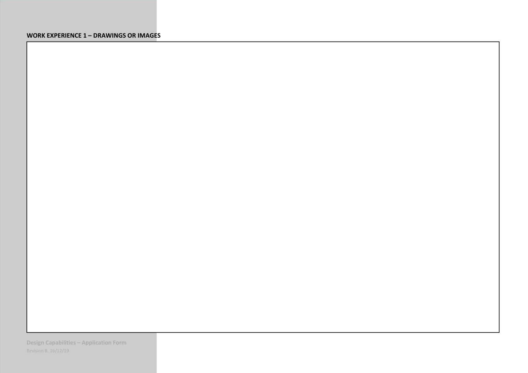## **WORK EXPERIENCE 1 – DRAWINGS OR IMAGES**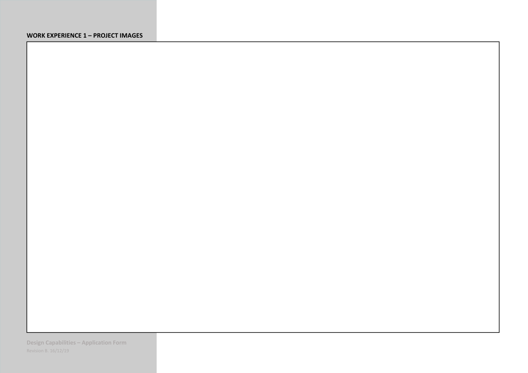## **WORK EXPERIENCE 1 – PROJECT IMAGES**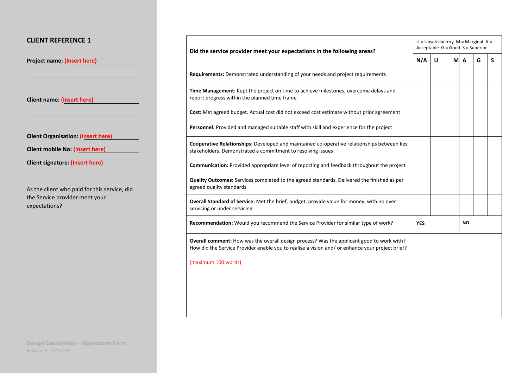# **CLIENT REFERENCE 1**

**Project name: (Insert here)**

**Client name: (Insert here)** 

**Client Organisation: (Insert here)**

| Client mobile No: (Insert here) |  |  |
|---------------------------------|--|--|
|---------------------------------|--|--|

**Client signature: (Insert here)**

As the client who paid for this service, did the Service provider meet your expectations?

| Did the service provider meet your expectations in the following areas?                                                                                                                      |            | $U =$ Unsatisfactory $M =$ Marginal A =<br>Acceptable $G = Good S = Superior$ |  |           |   |   |  |
|----------------------------------------------------------------------------------------------------------------------------------------------------------------------------------------------|------------|-------------------------------------------------------------------------------|--|-----------|---|---|--|
|                                                                                                                                                                                              | N/A        | U                                                                             |  | M A       | G | S |  |
| Requirements: Demonstrated understanding of your needs and project requirements                                                                                                              |            |                                                                               |  |           |   |   |  |
| Time Management: Kept the project on time to achieve milestones, overcome delays and<br>report progress within the planned time frame                                                        |            |                                                                               |  |           |   |   |  |
| Cost: Met agreed budget. Actual cost did not exceed cost estimate without prior agreement                                                                                                    |            |                                                                               |  |           |   |   |  |
| Personnel: Provided and managed suitable staff with skill and experience for the project                                                                                                     |            |                                                                               |  |           |   |   |  |
| Cooperative Relationships: Developed and maintained co-operative relationships between key<br>stakeholders. Demonstrated a commitment to resolving issues                                    |            |                                                                               |  |           |   |   |  |
| Communication: Provided appropriate level of reporting and feedback throughout the project                                                                                                   |            |                                                                               |  |           |   |   |  |
| Quality Outcomes: Services completed to the agreed standards. Delivered the finished as per<br>agreed quality standards                                                                      |            |                                                                               |  |           |   |   |  |
| Overall Standard of Service: Met the brief, budget, provide value for money, with no over<br>servicing or under servicing                                                                    |            |                                                                               |  |           |   |   |  |
| Recommendation: Would you recommend the Service Provider for similar type of work?                                                                                                           | <b>YES</b> |                                                                               |  | <b>NO</b> |   |   |  |
| Overall comment: How was the overall design process? Was the applicant good to work with?<br>How did the Service Provider enable you to realise a vision and/ or enhance your project brief? |            |                                                                               |  |           |   |   |  |
| (maximum 100 words)                                                                                                                                                                          |            |                                                                               |  |           |   |   |  |
|                                                                                                                                                                                              |            |                                                                               |  |           |   |   |  |
|                                                                                                                                                                                              |            |                                                                               |  |           |   |   |  |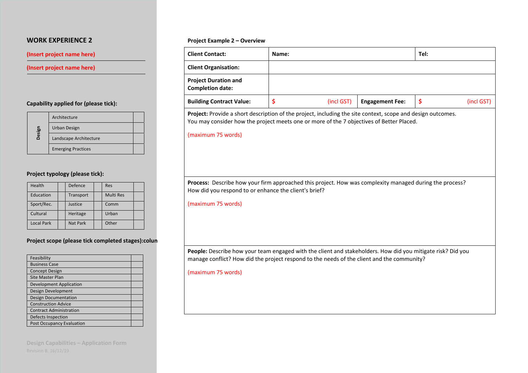## **(Insert project name here)**

**(Insert project name here)** 

# **Capability applied for (please tick):**

|        | Architecture              |  |
|--------|---------------------------|--|
|        | Urban Design              |  |
| Design | Landscape Architecture    |  |
|        | <b>Emerging Practices</b> |  |

# **Project typology (please tick):**

| Health            | Defence         | Res              |
|-------------------|-----------------|------------------|
| Education         | Transport       | <b>Multi Res</b> |
| Sport/Rec.        | Justice         | Comm             |
| Cultural          | Heritage        | Urban            |
| <b>Local Park</b> | <b>Nat Park</b> | Other            |

# **Project scope (please tick completed stages):colun**

| Feasibility                      |
|----------------------------------|
| <b>Business Case</b>             |
| <b>Concept Design</b>            |
| <b>Site Master Plan</b>          |
| <b>Development Application</b>   |
| Design Development               |
| <b>Design Documentation</b>      |
| <b>Construction Advice</b>       |
| <b>Contract Administration</b>   |
| Defects Inspection               |
| <b>Post Occupancy Evaluation</b> |

**Design Capabilities – Application Form** 

#### **Project Example 2 – Overview**

| <b>Client Organisation:</b><br><b>Project Duration and</b><br><b>Completion date:</b><br>\$<br>\$<br><b>Building Contract Value:</b><br>(incl GST)<br><b>Engagement Fee:</b><br>(incl GST)<br>Project: Provide a short description of the project, including the site context, scope and design outcomes.<br>You may consider how the project meets one or more of the 7 objectives of Better Placed.<br>(maximum 75 words)<br>Process: Describe how your firm approached this project. How was complexity managed during the process?<br>How did you respond to or enhance the client's brief?<br>(maximum 75 words) | <b>Client Contact:</b> | Name: | Tel: |  |
|-----------------------------------------------------------------------------------------------------------------------------------------------------------------------------------------------------------------------------------------------------------------------------------------------------------------------------------------------------------------------------------------------------------------------------------------------------------------------------------------------------------------------------------------------------------------------------------------------------------------------|------------------------|-------|------|--|
|                                                                                                                                                                                                                                                                                                                                                                                                                                                                                                                                                                                                                       |                        |       |      |  |
|                                                                                                                                                                                                                                                                                                                                                                                                                                                                                                                                                                                                                       |                        |       |      |  |
|                                                                                                                                                                                                                                                                                                                                                                                                                                                                                                                                                                                                                       |                        |       |      |  |
|                                                                                                                                                                                                                                                                                                                                                                                                                                                                                                                                                                                                                       |                        |       |      |  |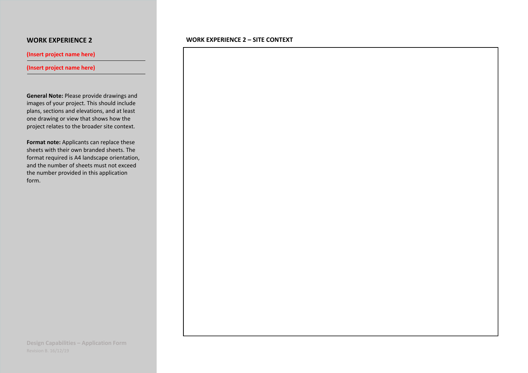**(Insert project name here)** 

**(Insert project name here)** 

**General Note:** Please provide drawings and images of your project. This should include plans, sections and elevations, and at least one drawing or view that shows how the project relates to the broader site context.

**Format note:** Applicants can replace these sheets with their own branded sheets. The format required is A4 landscape orientation, and the number of sheets must not exceed the number provided in this application form.

### **WORK EXPERIENCE 2 – SITE CONTEXT**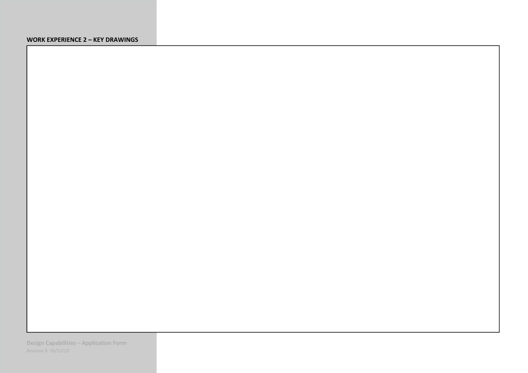#### **WORK EXPERIENCE 2 – KEY DRAWINGS**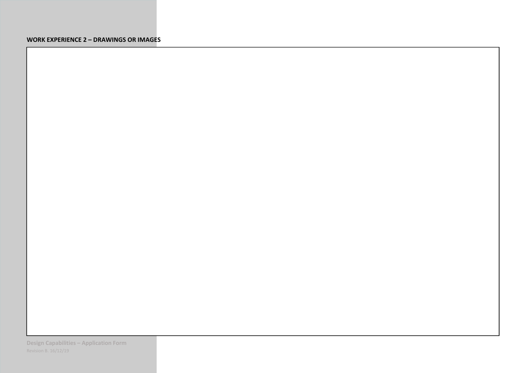#### **WORK EXPERIENCE 2 – DRAWINGS OR IMAGES**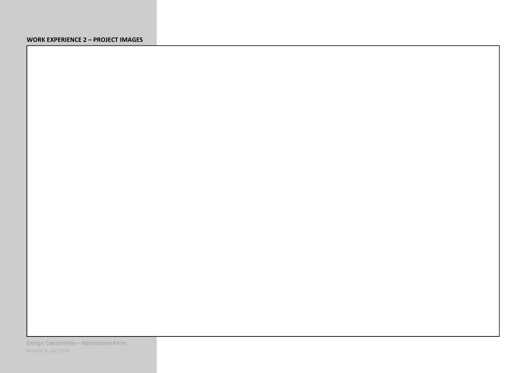# **WORK EXPERIENCE 2 – PROJECT IMAGES**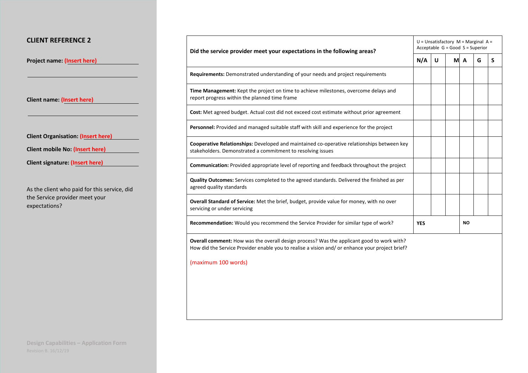# **CLIENT REFERENCE 2**

**Project name: (Insert here)**

**Client name: (Insert here)** 

**Client Organisation: (Insert here)**

| Client mobile No: (Insert here) |  |
|---------------------------------|--|
|---------------------------------|--|

**Client signature: (Insert here)**

As the client who paid for this service, did the Service provider meet your expectations?

| Did the service provider meet your expectations in the following areas?                                                                                                                             |            | $U =$ Unsatisfactory $M =$ Marginal A =<br>Acceptable $G = Good S = Superior$ |           |     |   |   |  |
|-----------------------------------------------------------------------------------------------------------------------------------------------------------------------------------------------------|------------|-------------------------------------------------------------------------------|-----------|-----|---|---|--|
|                                                                                                                                                                                                     |            | U                                                                             |           | M A | G | S |  |
| <b>Requirements:</b> Demonstrated understanding of your needs and project requirements                                                                                                              |            |                                                                               |           |     |   |   |  |
| Time Management: Kept the project on time to achieve milestones, overcome delays and<br>report progress within the planned time frame                                                               |            |                                                                               |           |     |   |   |  |
| Cost: Met agreed budget. Actual cost did not exceed cost estimate without prior agreement                                                                                                           |            |                                                                               |           |     |   |   |  |
| Personnel: Provided and managed suitable staff with skill and experience for the project                                                                                                            |            |                                                                               |           |     |   |   |  |
| Cooperative Relationships: Developed and maintained co-operative relationships between key<br>stakeholders. Demonstrated a commitment to resolving issues                                           |            |                                                                               |           |     |   |   |  |
| Communication: Provided appropriate level of reporting and feedback throughout the project                                                                                                          |            |                                                                               |           |     |   |   |  |
| Quality Outcomes: Services completed to the agreed standards. Delivered the finished as per<br>agreed quality standards                                                                             |            |                                                                               |           |     |   |   |  |
| <b>Overall Standard of Service:</b> Met the brief, budget, provide value for money, with no over<br>servicing or under servicing                                                                    |            |                                                                               |           |     |   |   |  |
| Recommendation: Would you recommend the Service Provider for similar type of work?                                                                                                                  | <b>YES</b> |                                                                               | <b>NO</b> |     |   |   |  |
| <b>Overall comment:</b> How was the overall design process? Was the applicant good to work with?<br>How did the Service Provider enable you to realise a vision and/ or enhance your project brief? |            |                                                                               |           |     |   |   |  |
| (maximum 100 words)                                                                                                                                                                                 |            |                                                                               |           |     |   |   |  |
|                                                                                                                                                                                                     |            |                                                                               |           |     |   |   |  |
|                                                                                                                                                                                                     |            |                                                                               |           |     |   |   |  |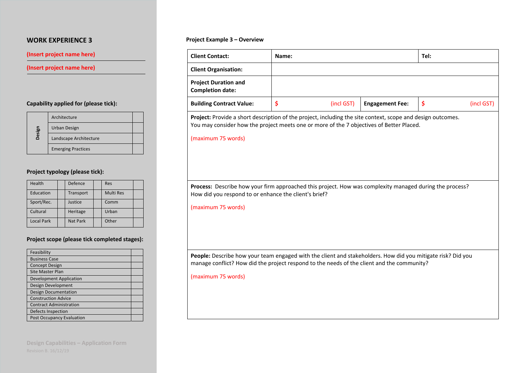## **(Insert project name here)**

## **(Insert project name here)**

# **Capability applied for (please tick):**

|        | Architecture              |  |
|--------|---------------------------|--|
| Design | Urban Design              |  |
|        | Landscape Architecture    |  |
|        | <b>Emerging Practices</b> |  |

# **Project typology (please tick):**

| Health            | Defence         | Res              |  |
|-------------------|-----------------|------------------|--|
| Education         | Transport       | <b>Multi Res</b> |  |
| Sport/Rec.        | Justice         | Comm             |  |
| Cultural          | Heritage        | Urban            |  |
| <b>Local Park</b> | <b>Nat Park</b> | Other            |  |

# **Project scope (please tick completed stages):**

| Feasibility                      |  |
|----------------------------------|--|
| <b>Business Case</b>             |  |
| <b>Concept Design</b>            |  |
| <b>Site Master Plan</b>          |  |
| <b>Development Application</b>   |  |
| Design Development               |  |
| <b>Design Documentation</b>      |  |
| <b>Construction Advice</b>       |  |
| <b>Contract Administration</b>   |  |
| Defects Inspection               |  |
| <b>Post Occupancy Evaluation</b> |  |

**Design Capabilities – Application Form** 

### **Project Example 3 – Overview**

|                                                                                                                                                                                                                               | Name: |            |                        | Tel: |            |
|-------------------------------------------------------------------------------------------------------------------------------------------------------------------------------------------------------------------------------|-------|------------|------------------------|------|------------|
| <b>Client Organisation:</b>                                                                                                                                                                                                   |       |            |                        |      |            |
| <b>Project Duration and</b><br><b>Completion date:</b>                                                                                                                                                                        |       |            |                        |      |            |
| <b>Building Contract Value:</b>                                                                                                                                                                                               | \$    | (incl GST) | <b>Engagement Fee:</b> | \$   | (incl GST) |
| Project: Provide a short description of the project, including the site context, scope and design outcomes.<br>You may consider how the project meets one or more of the 7 objectives of Better Placed.<br>(maximum 75 words) |       |            |                        |      |            |
| Process: Describe how your firm approached this project. How was complexity managed during the process?<br>How did you respond to or enhance the client's brief?<br>(maximum 75 words)                                        |       |            |                        |      |            |
|                                                                                                                                                                                                                               |       |            |                        |      |            |
|                                                                                                                                                                                                                               |       |            |                        |      |            |
| People: Describe how your team engaged with the client and stakeholders. How did you mitigate risk? Did you<br>manage conflict? How did the project respond to the needs of the client and the community?                     |       |            |                        |      |            |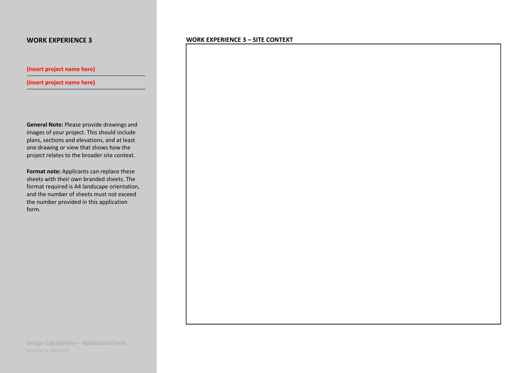**(Insert project name here)** 

**(Insert project name here)** 

**General Note:** Please provide drawings and images of your project. This should include plans, sections and elevations, and at least one drawing or view that shows how the project relates to the broader site context.

**Format note:** Applicants can replace these sheets with their own branded sheets. The format required is A4 landscape orientation, and the number of sheets must not exceed the number provided in this application form.

**WORK EXPERIENCE 3 – SITE CONTEXT**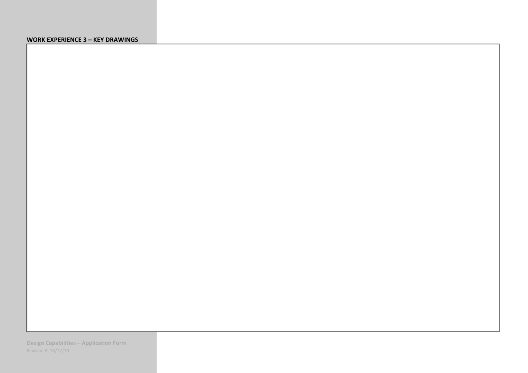#### **WORK EXPERIENCE 3 – KEY DRAWINGS**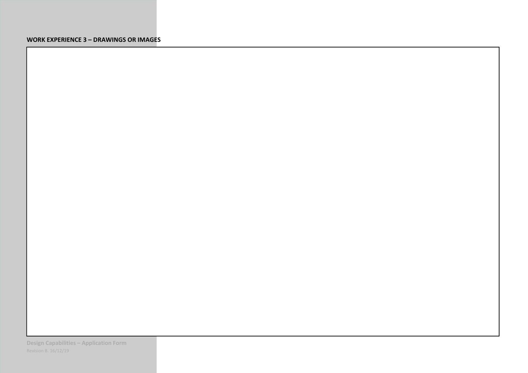# **WORK EXPERIENCE 3 – DRAWINGS OR IMAGES**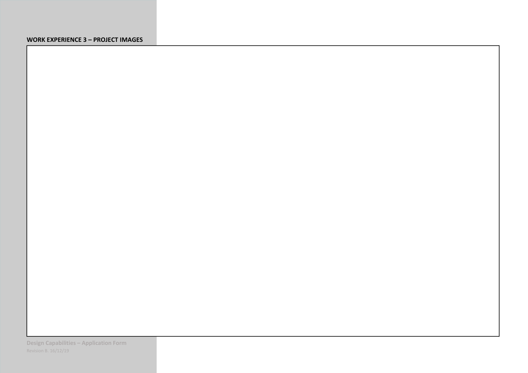# **WORK EXPERIENCE 3 – PROJECT IMAGES**